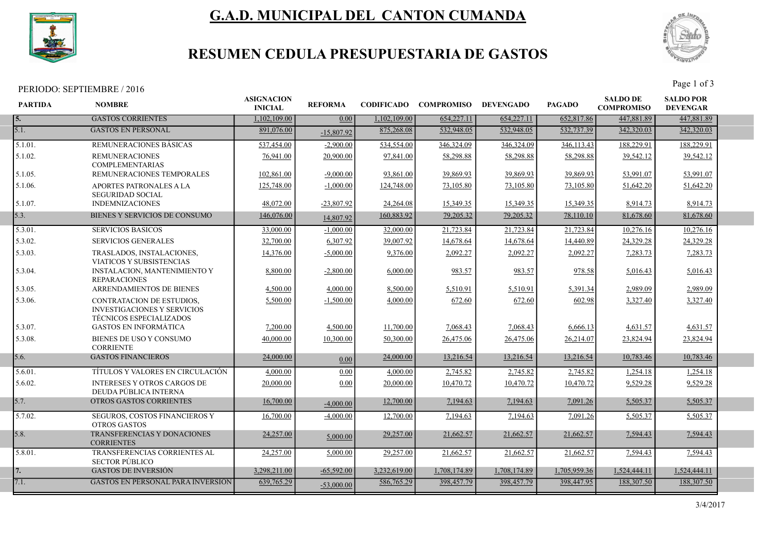

# G.A.D. MUNICIPAL DEL CANTON CUMANDA



## RESUMEN CEDULA PRESUPUESTARIA DE GASTOS

PERIODO: SEPTIEMBRE / 2016 Page 1 of 3

| <b>PARTIDA</b> | <b>NOMBRE</b>                                                                                            | <b>ASIGNACION</b><br><b>INICIAL</b> | <b>REFORMA</b>    | <b>CODIFICADO</b> | <b>COMPROMISO</b> | <b>DEVENGADO</b> | <b>PAGADO</b> | <b>SALDO DE</b><br><b>COMPROMISO</b> | <b>SALDO POR</b><br><b>DEVENGAR</b> |  |
|----------------|----------------------------------------------------------------------------------------------------------|-------------------------------------|-------------------|-------------------|-------------------|------------------|---------------|--------------------------------------|-------------------------------------|--|
| I 5.           | <b>GASTOS CORRIENTES</b>                                                                                 | 1,102,109.00                        | 0.00 <sub>1</sub> | 1,102,109.00      | 654,227.11        | 654,227.11       | 652,817.86    | 447,881.89                           | 447,881.89                          |  |
| 5.1.           | <b>GASTOS EN PERSONAL</b>                                                                                | 891,076.00                          | $-15,807.92$      | 875,268.08        | 532,948.05        | 532,948.05       | 532,737.39    | 342,320.03                           | 342,320.03                          |  |
| 5.1.01.        | REMUNERACIONES BASICAS                                                                                   | 537,454.00                          | $-2,900.00$       | 534,554.00        | 346,324.09        | 346,324.09       | 346,113.43    | 188,229.91                           | 188,229.91                          |  |
| 5.1.02.        | <b>REMUNERACIONES</b><br><b>COMPLEMENTARIAS</b>                                                          | 76,941.00                           | 20,900.00         | 97,841.00         | 58,298.88         | 58,298.88        | 58,298.88     | 39,542.12                            | 39,542.12                           |  |
| 5.1.05.        | REMUNERACIONES TEMPORALES                                                                                | 102,861.00                          | $-9,000.00$       | 93,861.00         | 39,869.93         | 39,869.93        | 39,869.93     | 53,991.07                            | 53,991.07                           |  |
| 5.1.06.        | APORTES PATRONALES A LA<br><b>SEGURIDAD SOCIAL</b>                                                       | 125,748.00                          | $-1,000.00$       | 124,748.00        | 73,105.80         | 73,105.80        | 73,105.80     | 51,642.20                            | 51,642.20                           |  |
| 5.1.07.        | <b>INDEMNIZACIONES</b>                                                                                   | 48,072.00                           | $-23,807.92$      | 24,264.08         | 15,349.35         | 15,349.35        | 15,349.35     | 8,914.73                             | 8,914.73                            |  |
| 5.3.           | BIENES Y SERVICIOS DE CONSUMO                                                                            | 146,076.00                          | 14,807.92         | 160,883.92        | 79,205.32         | 79,205.32        | 78,110.10     | 81,678.60                            | 81,678.60                           |  |
| 5.3.01.        | <b>SERVICIOS BASICOS</b>                                                                                 | 33,000.00                           | $-1,000.00$       | 32,000.00         | 21,723.84         | 21,723.84        | 21,723.84     | 10,276.16                            | 10,276.16                           |  |
| 5.3.02.        | <b>SERVICIOS GENERALES</b>                                                                               | 32,700.00                           | 6,307.92          | 39,007.92         | 14,678.64         | 14,678.64        | 14,440.89     | 24,329.28                            | 24,329.28                           |  |
| 5.3.03.        | TRASLADOS, INSTALACIONES,<br>VIATICOS Y SUBSISTENCIAS                                                    | 14,376.00                           | $-5,000.00$       | 9,376.00          | 2,092.27          | 2,092.27         | 2,092.27      | 7,283.73                             | 7,283.73                            |  |
| 5.3.04.        | <b>INSTALACION, MANTENIMIENTO Y</b><br><b>REPARACIONES</b>                                               | 8,800.00                            | $-2,800.00$       | 6,000.00          | 983.57            | 983.57           | 978.58        | 5,016.43                             | 5,016.43                            |  |
| 5.3.05.        | <b>ARRENDAMIENTOS DE BIENES</b>                                                                          | 4,500.00                            | 4,000.00          | 8,500.00          | 5,510.91          | 5,510.91         | 5,391.34      | 2.989.09                             | 2,989.09                            |  |
| 5.3.06.        | <b>CONTRATACION DE ESTUDIOS.</b><br><b>INVESTIGACIONES Y SERVICIOS</b><br><b>TÉCNICOS ESPECIALIZADOS</b> | 5,500.00                            | $-1,500.00$       | 4,000.00          | 672.60            | 672.60           | 602.98        | 3,327.40                             | 3,327.40                            |  |
| 5.3.07.        | <b>GASTOS EN INFORMÁTICA</b>                                                                             | 7,200.00                            | 4,500.00          | 11,700.00         | 7,068.43          | 7,068.43         | 6,666.13      | 4,631.57                             | 4,631.57                            |  |
| 5.3.08.        | BIENES DE USO Y CONSUMO<br><b>CORRIENTE</b>                                                              | 40,000.00                           | 10,300.00         | 50,300.00         | 26,475.06         | 26,475.06        | 26,214.07     | 23,824.94                            | 23,824.94                           |  |
| 5.6.           | <b>GASTOS FINANCIEROS</b>                                                                                | 24,000.00                           | 0.00              | 24,000.00         | 13,216.54         | 13,216.54        | 13,216.54     | 10,783.46                            | 10,783.46                           |  |
| 5.6.01.        | TÍTULOS Y VALORES EN CIRCULACIÓN                                                                         | 4,000.00                            | 0.00              | 4,000.00          | 2,745.82          | 2,745.82         | 2,745.82      | 1,254.18                             | 1,254.18                            |  |
| 5.6.02.        | <b>INTERESES Y OTROS CARGOS DE</b><br>DEUDA PÚBLICA INTERNA                                              | 20,000.00                           | 0.00              | 20,000.00         | 10,470.72         | 10,470.72        | 10,470.72     | 9,529.28                             | 9,529.28                            |  |
| 5.7.           | <b>OTROS GASTOS CORRIENTES</b>                                                                           | 16,700.00                           | $-4,000.00$       | 12,700.00         | 7,194.63          | 7,194.63         | 7,091.26      | 5,505.37                             | 5,505.37                            |  |
| 5.7.02.        | SEGUROS, COSTOS FINANCIEROS Y<br><b>OTROS GASTOS</b>                                                     | 16,700.00                           | $-4,000.00$       | 12,700.00         | 7,194.63          | 7,194.63         | 7,091.26      | 5,505.37                             | 5,505.37                            |  |
| 5.8.           | TRANSFERENCIAS Y DONACIONES<br><b>CORRIENTES</b>                                                         | 24,257.00                           | 5,000.00          | 29,257.00         | 21,662.57         | 21,662.57        | 21,662.57     | 7,594.43                             | 7.594.43                            |  |
| 5.8.01.        | TRANSFERENCIAS CORRIENTES AL<br><b>SECTOR PÚBLICO</b>                                                    | 24,257.00                           | 5,000.00          | 29,257.00         | 21,662.57         | 21,662.57        | 21,662.57     | 7,594.43                             | 7,594.43                            |  |
| 17.            | <b>GASTOS DE INVERSIÓN</b>                                                                               | 3.298.211.00                        | $-65.592.00$      | 3.232,619.00      | 1.708.174.89      | 1.708.174.89     | 1.705.959.36  | 1,524,444.11                         | 1,524,444.11                        |  |
| 7.1.           | <b>GASTOS EN PERSONAL PARA INVERSIÓN</b>                                                                 | 639,765.29                          | $-53,000,00$      | 586,765.29        | 398,457.79        | 398,457.79       | 398,447.95    | 188,307.50                           | 188,307.50                          |  |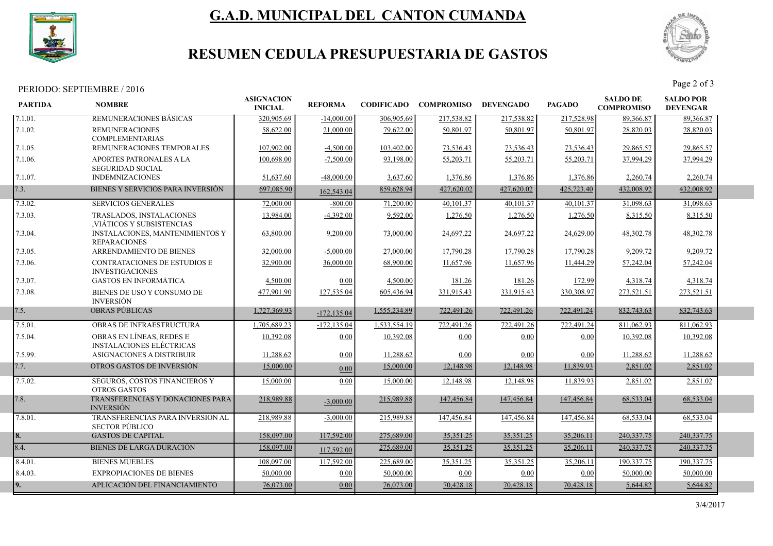

# G.A.D. MUNICIPAL DEL CANTON CUMANDA



## RESUMEN CEDULA PRESUPUESTARIA DE GASTOS

## PERIODO: SEPTIEMBRE / 2016 Page 2 of 3

| <b>PARTIDA</b> | <b>NOMBRE</b>                                               | <b>ASIGNACION</b><br><b>INICIAL</b> | <b>REFORMA</b> |              | <b>CODIFICADO COMPROMISO</b> | <b>DEVENGADO</b> | <b>PAGADO</b> | <b>SALDO DE</b><br><b>COMPROMISO</b> | <b>SALDO POR</b><br><b>DEVENGAR</b> |  |
|----------------|-------------------------------------------------------------|-------------------------------------|----------------|--------------|------------------------------|------------------|---------------|--------------------------------------|-------------------------------------|--|
| 7.1.01.        | REMUNERACIONES BASICAS                                      | 320,905.69                          | $-14,000.00$   | 306,905.69   | 217,538.82                   | 217,538.82       | 217,528.98    | 89,366.87                            | 89,366.87                           |  |
| 7.1.02.        | <b>REMUNERACIONES</b><br><b>COMPLEMENTARIAS</b>             | 58,622.00                           | 21,000.00      | 79,622.00    | 50,801.97                    | 50.801.97        | 50,801.97     | 28,820.03                            | 28,820.03                           |  |
| 7.1.05.        | REMUNERACIONES TEMPORALES                                   | 107,902.00                          | $-4,500.00$    | 103,402.00   | 73,536.43                    | 73,536.43        | 73,536.43     | 29,865.57                            | 29,865.57                           |  |
| 7.1.06.        | APORTES PATRONALES A LA<br><b>SEGURIDAD SOCIAL</b>          | 100,698.00                          | $-7,500.00$    | 93,198.00    | 55,203.71                    | 55,203.71        | 55,203.71     | 37,994.29                            | 37,994.29                           |  |
| 7.1.07.        | <b>INDEMNIZACIONES</b>                                      | 51,637.60                           | $-48,000,00$   | 3.637.60     | 1,376.86                     | 1,376.86         | 1,376.86      | 2,260.74                             | 2,260.74                            |  |
| 7.3.           | BIENES Y SERVICIOS PARA INVERSIÓN                           | 697,085.90                          | 162,543.04     | 859,628.94   | 427,620.02                   | 427,620.02       | 425,723.40    | 432,008.92                           | 432,008.92                          |  |
| 7.3.02.        | <b>SERVICIOS GENERALES</b>                                  | 72,000.00                           | $-800.00$      | 71,200.00    | 40,101.37                    | 40,101.37        | 40,101.37     | 31,098.63                            | 31,098.63                           |  |
| 7.3.03.        | TRASLADOS, INSTALACIONES<br>VIÁTICOS Y SUBSISTENCIAS        | 13,984.00                           | $-4,392.00$    | 9,592.00     | 1,276.50                     | 1,276.50         | 1,276.50      | 8,315.50                             | 8,315.50                            |  |
| 7.3.04.        | INSTALACIONES, MANTENIMIENTOS Y<br><b>REPARACIONES</b>      | 63,800.00                           | 9,200.00       | 73,000.00    | 24,697.22                    | 24,697.22        | 24,629.00     | 48,302.78                            | 48,302.78                           |  |
| 7.3.05.        | ARRENDAMIENTO DE BIENES                                     | 32,000.00                           | $-5,000.00$    | 27,000.00    | 17,790.28                    | 17,790.28        | 17,790.28     | 9,209.72                             | 9,209.72                            |  |
| 7.3.06.        | CONTRATACIONES DE ESTUDIOS E<br><b>INVESTIGACIONES</b>      | 32,900.00                           | 36,000.00      | 68,900.00    | 11,657.96                    | 11,657.96        | 11,444.29     | 57,242.04                            | 57,242.04                           |  |
| 7.3.07.        | <b>GASTOS EN INFORMÁTICA</b>                                | 4,500.00                            | 0.00           | 4,500.00     | 181.26                       | 181.26           | 172.99        | 4,318.74                             | 4,318.74                            |  |
| 7.3.08.        | BIENES DE USO Y CONSUMO DE<br><b>INVERSIÓN</b>              | 477,901.90                          | 127,535.04     | 605,436.94   | 331,915.43                   | 331,915.43       | 330,308.97    | 273,521.51                           | 273,521.51                          |  |
| 7.5.           | <b>OBRAS PÚBLICAS</b>                                       | 1,727,369.93                        | $-172, 135.04$ | 1,555,234.89 | 722,491.26                   | 722,491.26       | 722,491.24    | 832,743.63                           | 832,743.63                          |  |
| 7.5.01.        | OBRAS DE INFRAESTRUCTURA                                    | 1.705.689.23                        | $-172, 135.04$ | 1.533.554.19 | 722,491.26                   | 722,491.26       | 722,491.24    | 811.062.93                           | 811,062.93                          |  |
| 7.5.04.        | OBRAS EN LÍNEAS, REDES E<br><b>INSTALACIONES ELÉCTRICAS</b> | 10.392.08                           | 0.00           | 10.392.08    | 0.00                         | 0.00             | 0.00          | 10.392.08                            | 10.392.08                           |  |
| 7.5.99.        | ASIGNACIONES A DISTRIBUIR                                   | 11,288.62                           | 0.00           | 11,288.62    | 0.00                         | 0.00             | $0.00\,$      | 11,288.62                            | 11,288.62                           |  |
| 7.7.           | OTROS GASTOS DE INVERSIÓN                                   | 15,000.00                           | 0.00           | 15,000.00    | 12,148.98                    | 12,148.98        | 11,839.93     | 2,851.02                             | 2,851.02                            |  |
| 7.7.02.        | SEGUROS, COSTOS FINANCIEROS Y<br><b>OTROS GASTOS</b>        | 15,000.00                           | 0.00           | 15,000.00    | 12,148.98                    | 12,148.98        | 11,839.93     | 2,851.02                             | 2,851.02                            |  |
| 7.8.           | TRANSFERENCIAS Y DONACIONES PARA<br><b>INVERSIÓN</b>        | 218,989.88                          | $-3,000.00$    | 215,989.88   | 147,456.84                   | 147,456.84       | 147,456.84    | 68,533.04                            | 68,533.04                           |  |
| 7.8.01.        | TRANSFERENCIAS PARA INVERSION AL<br><b>SECTOR PÚBLICO</b>   | 218,989.88                          | $-3,000.00$    | 215,989.88   | 147,456.84                   | 147,456.84       | 147,456.84    | 68,533.04                            | 68,533.04                           |  |
| 8.             | <b>GASTOS DE CAPITAL</b>                                    | 158,097.00                          | 117,592.00     | 275,689.00   | 35,351.25                    | 35,351.25        | 35,206.11     | 240,337.75                           | 240,337.75                          |  |
| 8.4.           | <b>BIENES DE LARGA DURACIÓN</b>                             | 158,097.00                          | 117,592.00     | 275,689.00   | 35,351.25                    | 35,351.25        | 35,206.11     | 240,337.75                           | 240, 337. 75                        |  |
| 8.4.01.        | <b>BIENES MUEBLES</b>                                       | 108,097.00                          | 117,592.00     | 225,689.00   | 35,351.25                    | 35,351.25        | 35,206.11     | 190,337.75                           | 190,337.75                          |  |
| 8.4.03.        | <b>EXPROPIACIONES DE BIENES</b>                             | 50,000.00                           | 0.00           | 50,000.00    | 0.00                         | 0.00             | 0.00          | 50,000.00                            | 50,000.00                           |  |
| 9.             | APLICACIÓN DEL FINANCIAMIENTO                               | 76,073.00                           | 0.00           | 76,073.00    | 70,428.18                    | 70,428.18        | 70,428.18     | 5,644.82                             | 5,644.82                            |  |